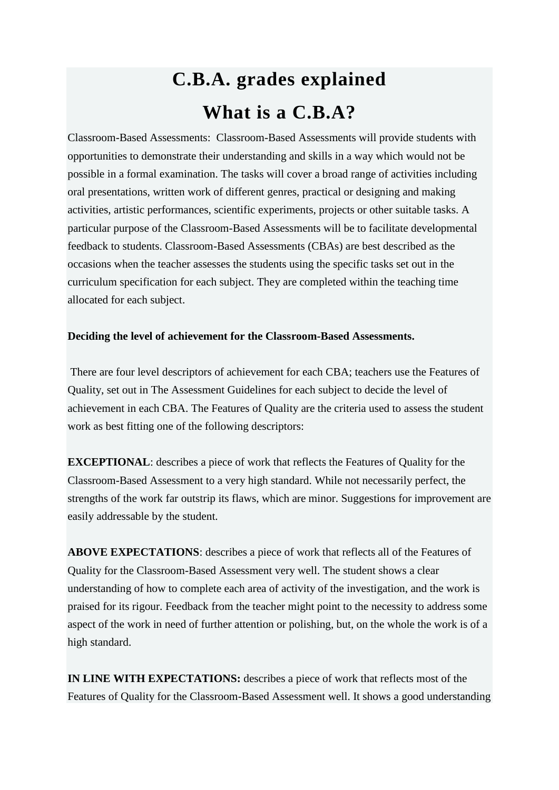## **C.B.A. grades explained What is a C.B.A?**

Classroom-Based Assessments: Classroom-Based Assessments will provide students with opportunities to demonstrate their understanding and skills in a way which would not be possible in a formal examination. The tasks will cover a broad range of activities including oral presentations, written work of different genres, practical or designing and making activities, artistic performances, scientific experiments, projects or other suitable tasks. A particular purpose of the Classroom-Based Assessments will be to facilitate developmental feedback to students. Classroom-Based Assessments (CBAs) are best described as the occasions when the teacher assesses the students using the specific tasks set out in the curriculum specification for each subject. They are completed within the teaching time allocated for each subject.

## **Deciding the level of achievement for the Classroom-Based Assessments.**

There are four level descriptors of achievement for each CBA; teachers use the Features of Quality, set out in The Assessment Guidelines for each subject to decide the level of achievement in each CBA. The Features of Quality are the criteria used to assess the student work as best fitting one of the following descriptors:

**EXCEPTIONAL:** describes a piece of work that reflects the Features of Quality for the Classroom-Based Assessment to a very high standard. While not necessarily perfect, the strengths of the work far outstrip its flaws, which are minor. Suggestions for improvement are easily addressable by the student.

**ABOVE EXPECTATIONS**: describes a piece of work that reflects all of the Features of Quality for the Classroom-Based Assessment very well. The student shows a clear understanding of how to complete each area of activity of the investigation, and the work is praised for its rigour. Feedback from the teacher might point to the necessity to address some aspect of the work in need of further attention or polishing, but, on the whole the work is of a high standard.

**IN LINE WITH EXPECTATIONS:** describes a piece of work that reflects most of the Features of Quality for the Classroom-Based Assessment well. It shows a good understanding